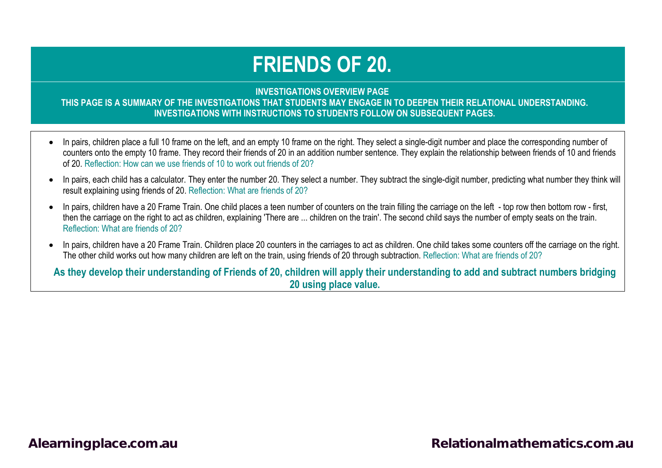# **FRIENDS OF 20.**

#### **INVESTIGATIONS OVERVIEW PAGE THIS PAGE IS A SUMMARY OF THE INVESTIGATIONS THAT STUDENTS MAY ENGAGE IN TO DEEPEN THEIR RELATIONAL UNDERSTANDING. INVESTIGATIONS WITH INSTRUCTIONS TO STUDENTS FOLLOW ON SUBSEQUENT PAGES.**

- In pairs, children place a full 10 frame on the left, and an empty 10 frame on the right. They select a single-digit number and place the corresponding number of counters onto the empty 10 frame. They record their friends of 20 in an addition number sentence. They explain the relationship between friends of 10 and friends of 20. Reflection: How can we use friends of 10 to work out friends of 20?
- In pairs, each child has a calculator. They enter the number 20. They select a number. They subtract the single-digit number, predicting what number they think will result explaining using friends of 20. Reflection: What are friends of 20?
- In pairs, children have a 20 Frame Train. One child places a teen number of counters on the train filling the carriage on the left top row then bottom row first, then the carriage on the right to act as children, explaining 'There are ... children on the train'. The second child says the number of empty seats on the train. Reflection: What are friends of 20?
- In pairs, children have a 20 Frame Train. Children place 20 counters in the carriages to act as children. One child takes some counters off the carriage on the right. The other child works out how many children are left on the train, using friends of 20 through subtraction. Reflection: What are friends of 20?

**As they develop their understanding of Friends of 20, children will apply their understanding to add and subtract numbers bridging 20 using place value.**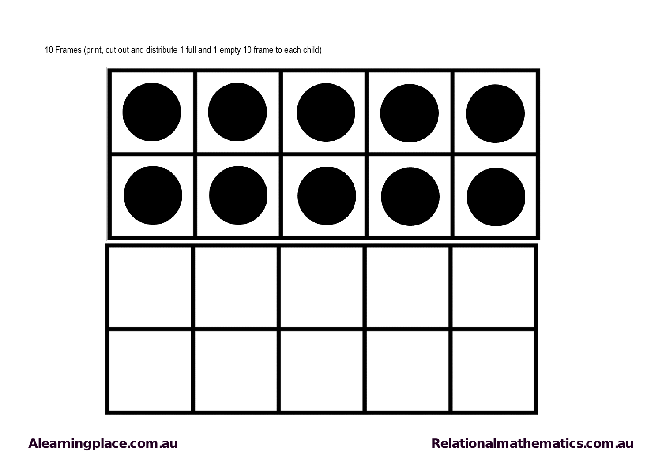

10 Frames (print, cut out and distribute 1 full and 1 empty 10 frame to each child)

[Alearningplace.com.au](https://alearningplace.com.au/) *Alearningplace.com.au* **[Relationalmathematics.com.au](http://relationalmathematics.com.au/)**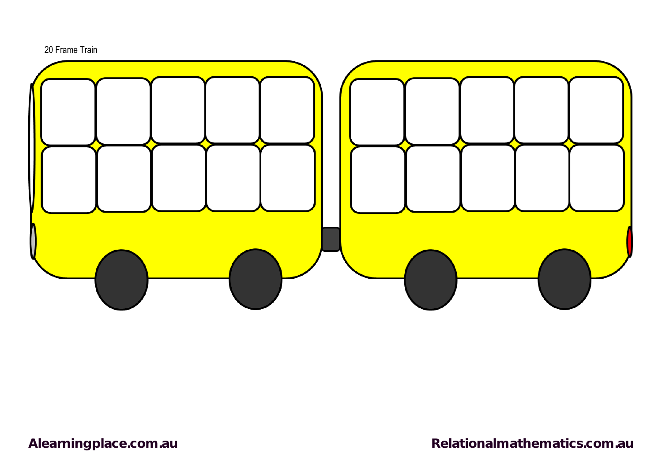

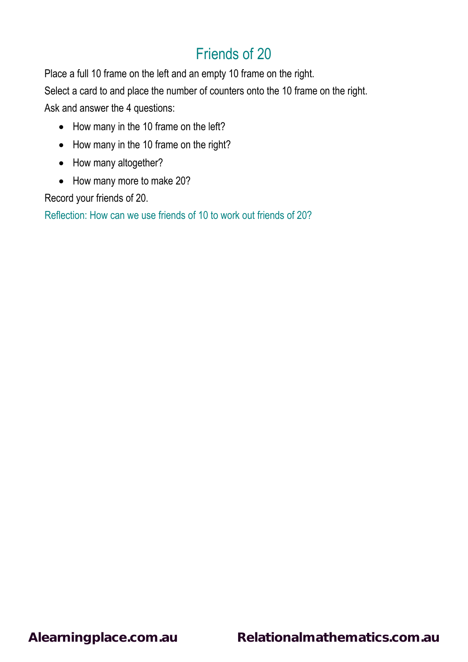Place a full 10 frame on the left and an empty 10 frame on the right.

Select a card to and place the number of counters onto the 10 frame on the right.

Ask and answer the 4 questions:

- How many in the 10 frame on the left?
- How many in the 10 frame on the right?
- How many altogether?
- How many more to make 20?

Record your friends of 20.

Reflection: How can we use friends of 10 to work out friends of 20?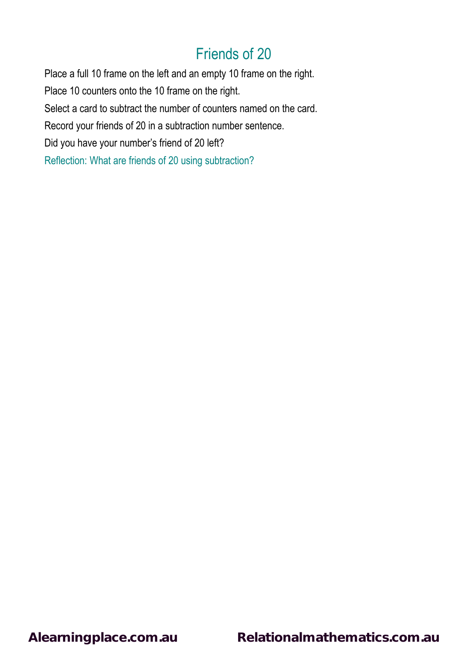Place a full 10 frame on the left and an empty 10 frame on the right. Place 10 counters onto the 10 frame on the right. Select a card to subtract the number of counters named on the card. Record your friends of 20 in a subtraction number sentence. Did you have your number's friend of 20 left? Reflection: What are friends of 20 using subtraction?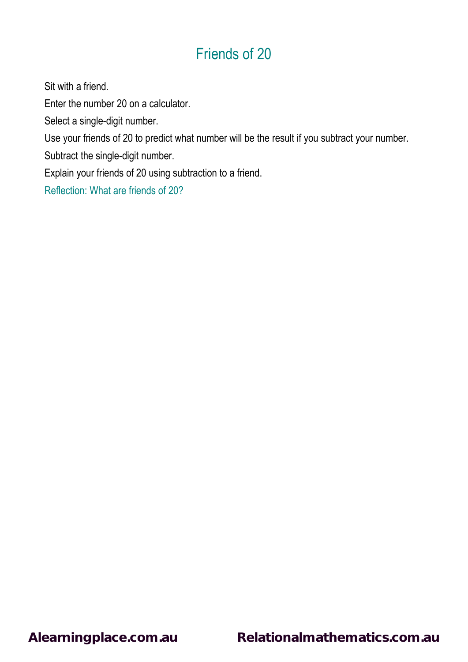Sit with a friend.

Enter the number 20 on a calculator.

Select a single-digit number.

Use your friends of 20 to predict what number will be the result if you subtract your number.

Subtract the single-digit number.

Explain your friends of 20 using subtraction to a friend.

Reflection: What are friends of 20?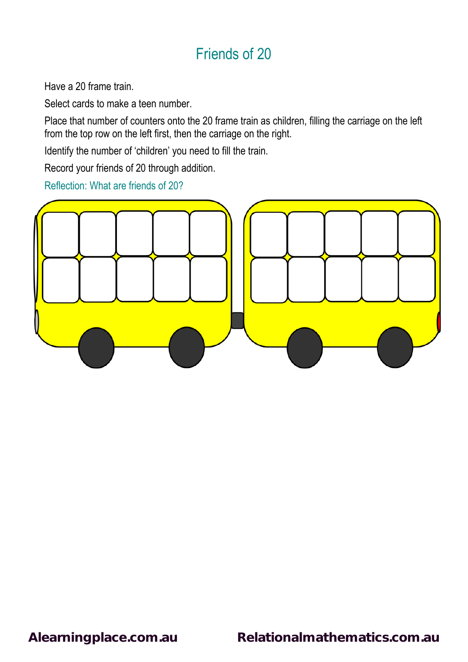Have a 20 frame train.

Select cards to make a teen number.

Place that number of counters onto the 20 frame train as children, filling the carriage on the left from the top row on the left first, then the carriage on the right.

Identify the number of 'children' you need to fill the train.

Record your friends of 20 through addition.

Reflection: What are friends of 20?